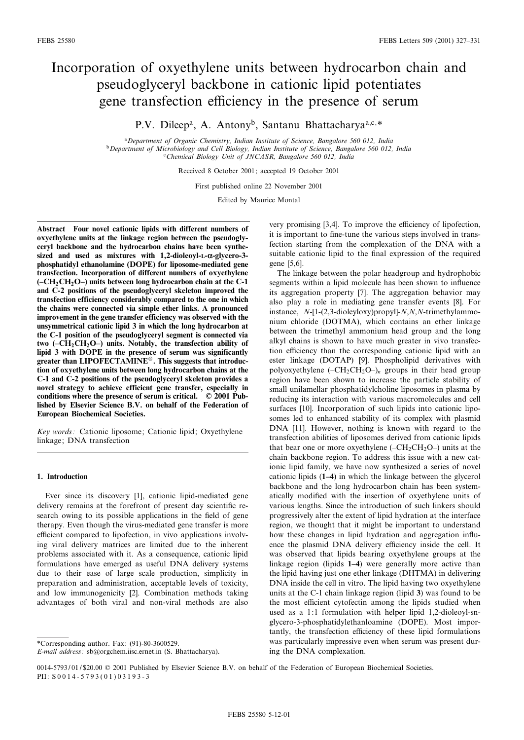# Incorporation of oxyethylene units between hydrocarbon chain and pseudoglyceryl backbone in cationic lipid potentiates gene transfection efficiency in the presence of serum

P.V. Dileep<sup>a</sup>, A. Antony<sup>b</sup>, Santanu Bhattacharya<sup>a,c,\*</sup>

<sup>a</sup> Department of Organic Chemistry, Indian Institute of Science, Bangalore 560 012, India<br><sup>b</sup> Department of Microbiology and Cell Biology, Indian Institute of Science, Bangalore 560 012, India<br><sup>c</sup>Chemical Biology Unit of

Received 8 October 2001; accepted 19 October 2001

First published online 22 November 2001

Edited by Maurice Montal

Abstract Four novel cationic lipids with different numbers of oxyethylene units at the linkage region between the pseudoglyceryl backbone and the hydrocarbon chains have been synthesized and used as mixtures with  $1,2$ -dioleoyl-L- $\alpha$ -glycero-3phosphatidyl ethanolamine (DOPE) for liposome-mediated gene transfection. Incorporation of different numbers of oxyethylene  $(-CH<sub>2</sub>CH<sub>2</sub>O<sub>-</sub>)$  units between long hydrocarbon chain at the C-1 and C-2 positions of the pseudoglyceryl skeleton improved the transfection efficiency considerably compared to the one in which the chains were connected via simple ether links. A pronounced improvement in the gene transfer efficiency was observed with the unsymmetrical cationic lipid 3 in which the long hydrocarbon at the C-1 position of the pseudoglyceryl segment is connected via two  $(-CH<sub>2</sub>CH<sub>2</sub>O<sub>-</sub>)$  units. Notably, the transfection ability of lipid 3 with DOPE in the presence of serum was significantly greater than LIPOFECTAMINE<sup>®</sup>. This suggests that introduction of oxyethylene units between long hydrocarbon chains at the C-1 and C-2 positions of the pseudoglyceryl skeleton provides a novel strategy to achieve efficient gene transfer, especially in conditions where the presence of serum is critical.  $\degree$  2001 Published by Elsevier Science B.V. on behalf of the Federation of European Biochemical Societies.

Key words: Cationic liposome; Cationic lipid; Oxyethylene linkage; DNA transfection

## 1. Introduction

Ever since its discovery [1], cationic lipid-mediated gene delivery remains at the forefront of present day scientific research owing to its possible applications in the field of gene therapy. Even though the virus-mediated gene transfer is more efficient compared to lipofection, in vivo applications involving viral delivery matrices are limited due to the inherent problems associated with it. As a consequence, cationic lipid formulations have emerged as useful DNA delivery systems due to their ease of large scale production, simplicity in preparation and administration, acceptable levels of toxicity, and low immunogenicity [2]. Combination methods taking advantages of both viral and non-viral methods are also

very promising  $[3,4]$ . To improve the efficiency of lipofection, it is important to fine-tune the various steps involved in transfection starting from the complexation of the DNA with a suitable cationic lipid to the final expression of the required gene [5,6].

The linkage between the polar headgroup and hydrophobic segments within a lipid molecule has been shown to influence its aggregation property [7]. The aggregation behavior may also play a role in mediating gene transfer events [8]. For instance, N-[1-(2,3-dioleyloxy)propyl]-N,N,N-trimethylammonium chloride (DOTMA), which contains an ether linkage between the trimethyl ammonium head group and the long alkyl chains is shown to have much greater in vivo transfection efficiency than the corresponding cationic lipid with an ester linkage (DOTAP) [9]. Phospholipid derivatives with polyoxyethylene  $(-CH_2CH_2O<sub>n</sub>)$  groups in their head group region have been shown to increase the particle stability of small unilamellar phosphatidylcholine liposomes in plasma by reducing its interaction with various macromolecules and cell surfaces [10]. Incorporation of such lipids into cationic liposomes led to enhanced stability of its complex with plasmid DNA [11]. However, nothing is known with regard to the transfection abilities of liposomes derived from cationic lipids that bear one or more oxyethylene  $(-CH_2CH_2O)$  units at the chain backbone region. To address this issue with a new cationic lipid family, we have now synthesized a series of novel cationic lipids (1^4) in which the linkage between the glycerol backbone and the long hydrocarbon chain has been systematically modified with the insertion of oxyethylene units of various lengths. Since the introduction of such linkers should progressively alter the extent of lipid hydration at the interface region, we thought that it might be important to understand how these changes in lipid hydration and aggregation influence the plasmid DNA delivery efficiency inside the cell. It was observed that lipids bearing oxyethylene groups at the linkage region (lipids 1–4) were generally more active than the lipid having just one ether linkage (DHTMA) in delivering DNA inside the cell in vitro. The lipid having two oxyethylene units at the C-1 chain linkage region (lipid 3) was found to be the most efficient cytofectin among the lipids studied when used as a 1:1 formulation with helper lipid 1,2-dioleoyl-snglycero-3-phosphatidylethanloamine (DOPE). Most importantly, the transfection efficiency of these lipid formulations was particularly impressive even when serum was present during the DNA complexation.

<sup>\*</sup>Corresponding author. Fax: (91)-80-3600529.

E-mail address: sb@orgchem.iisc.ernet.in (S. Bhattacharya).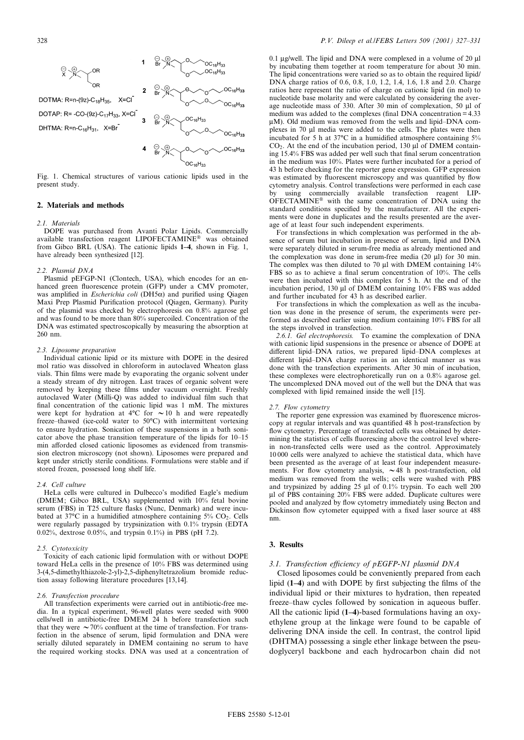

Fig. 1. Chemical structures of various cationic lipids used in the present study.

# 2. Materials and methods

#### 2.1. Materials

DOPE was purchased from Avanti Polar Lipids. Commercially available transfection reagent LIPOFECTAMINE<sup>®</sup> was obtained from Gibco BRL (USA). The cationic lipids 1^4, shown in Fig. 1, have already been synthesized [12].

## 2.2. Plasmid DNA

Plasmid pEFGP-N1 (Clontech, USA), which encodes for an enhanced green fluorescence protein (GFP) under a CMV promoter, was amplified in *Escherichia coli* ( $DH5\alpha$ ) and purified using Oiagen Maxi Prep Plasmid Purification protocol (Qiagen, Germany). Purity of the plasmid was checked by electrophoresis on 0.8% agarose gel and was found to be more than 80% supercoiled. Concentration of the DNA was estimated spectroscopically by measuring the absorption at 260 nm.

#### 2.3. Liposome preparation

Individual cationic lipid or its mixture with DOPE in the desired mol ratio was dissolved in chloroform in autoclaved Wheaton glass vials. Thin films were made by evaporating the organic solvent under a steady stream of dry nitrogen. Last traces of organic solvent were removed by keeping these films under vacuum overnight. Freshly autoclaved Water (Milli-O) was added to individual film such that final concentration of the cationic lipid was 1 mM. The mixtures were kept for hydration at  $4^{\circ}C$  for  $\sim 10$  h and were repeatedly freeze-thawed (ice-cold water to  $50^{\circ}$ C) with intermittent vortexing to ensure hydration. Sonication of these suspensions in a bath sonicator above the phase transition temperature of the lipids for 10^15 min afforded closed cationic liposomes as evidenced from transmission electron microscopy (not shown). Liposomes were prepared and kept under strictly sterile conditions. Formulations were stable and if stored frozen, possessed long shelf life.

#### 2.4. Cell culture

HeLa cells were cultured in Dulbecco's modified Eagle's medium (DMEM; Gibco BRL, USA) supplemented with 10% fetal bovine serum (FBS) in T25 culture flasks (Nunc, Denmark) and were incubated at  $37^{\circ}$ C in a humidified atmosphere containing 5% CO<sub>2</sub>. Cells were regularly passaged by trypsinization with 0.1% trypsin (EDTA 0.02%, dextrose 0.05%, and trypsin 0.1%) in PBS (pH 7.2).

#### 2.5. Cytotoxicity

Toxicity of each cationic lipid formulation with or without DOPE toward HeLa cells in the presence of 10% FBS was determined using 3-(4,5-dimethylthiazole-2-yl)-2,5-diphenyltetrazolium bromide reduction assay following literature procedures [13,14].

#### 2.6. Transfection procedure

All transfection experiments were carried out in antibiotic-free media. In a typical experiment, 96-well plates were seeded with 9000 cells/well in antibiotic-free DMEM 24 h before transfection such that they were  $\sim$  70% confluent at the time of transfection. For transfection in the absence of serum, lipid formulation and DNA were serially diluted separately in DMEM containing no serum to have the required working stocks. DNA was used at a concentration of

0.1  $\mu$ g/well. The lipid and DNA were complexed in a volume of 20  $\mu$ l by incubating them together at room temperature for about 30 min. The lipid concentrations were varied so as to obtain the required lipid/ DNA charge ratios of 0.6, 0.8, 1.0, 1.2, 1.4, 1.6, 1.8 and 2.0. Charge ratios here represent the ratio of charge on cationic lipid (in mol) to nucleotide base molarity and were calculated by considering the average nucleotide mass of 330. After 30 min of complexation, 50 µl of medium was added to the complexes (final DNA concentration  $= 4.33$ )  $\mu$ M). Old medium was removed from the wells and lipid–DNA complexes in 70 µl media were added to the cells. The plates were then incubated for 5 h at  $37^{\circ}$ C in a humidified atmosphere containing  $5\%$  $CO<sub>2</sub>$ . At the end of the incubation period, 130  $\mu$ l of DMEM containing 15.4% FBS was added per well such that final serum concentration in the medium was 10%. Plates were further incubated for a period of 43 h before checking for the reporter gene expression. GFP expression was estimated by fluorescent microscopy and was quantified by flow cytometry analysis. Control transfections were performed in each case by using commercially available transfection reagent LIP- $OFECTAMINE<sup>®</sup>$  with the same concentration of DNA using the standard conditions specified by the manufacturer. All the experiments were done in duplicates and the results presented are the average of at least four such independent experiments.

For transfections in which complexation was performed in the absence of serum but incubation in presence of serum, lipid and DNA were separately diluted in serum-free media as already mentioned and the complexation was done in serum-free media  $(20 \mu l)$  for 30 min. The complex was then diluted to 70  $\mu$ l with DMEM containing 14% FBS so as to achieve a final serum concentration of 10%. The cells were then incubated with this complex for 5 h. At the end of the incubation period, 130 µl of DMEM containing 10% FBS was added and further incubated for 43 h as described earlier.

For transfections in which the complexation as well as the incubation was done in the presence of serum, the experiments were performed as described earlier using medium containing 10% FBS for all the steps involved in transfection.

2.6.1. Gel electrophoresis. To examine the complexation of DNA with cationic lipid suspensions in the presence or absence of DOPE at different lipid-DNA ratios, we prepared lipid-DNA complexes at different lipid-DNA charge ratios in an identical manner as was done with the transfection experiments. After 30 min of incubation, these complexes were electrophoretically run on a 0.8% agarose gel. The uncomplexed DNA moved out of the well but the DNA that was complexed with lipid remained inside the well [15].

#### 2.7. Flow cytometry

The reporter gene expression was examined by fluorescence microscopy at regular intervals and was quantified 48 h post-transfection by flow cytometry. Percentage of transfected cells was obtained by determining the statistics of cells fluorescing above the control level wherein non-transfected cells were used as the control. Approximately 10 000 cells were analyzed to achieve the statistical data, which have been presented as the average of at least four independent measurements. For flow cytometry analysis,  $\sim$  48 h post-transfection, old medium was removed from the wells; cells were washed with PBS and trypsinized by adding  $25 \mu l$  of 0.1% trypsin. To each well  $200 \mu$ ul of PBS containing 20% FBS were added. Duplicate cultures were pooled and analyzed by flow cytometry immediately using Becton and Dickinson flow cytometer equipped with a fixed laser source at 488 nm.

# 3. Results

## 3.1. Transfection efficiency of pEGFP-N1 plasmid DNA

Closed liposomes could be conveniently prepared from each lipid  $(1-4)$  and with DOPE by first subjecting the films of the individual lipid or their mixtures to hydration, then repeated freeze–thaw cycles followed by sonication in aqueous buffer. All the cationic lipid (1-4)-based formulations having an oxyethylene group at the linkage were found to be capable of delivering DNA inside the cell. In contrast, the control lipid (DHTMA) possessing a single ether linkage between the pseudoglyceryl backbone and each hydrocarbon chain did not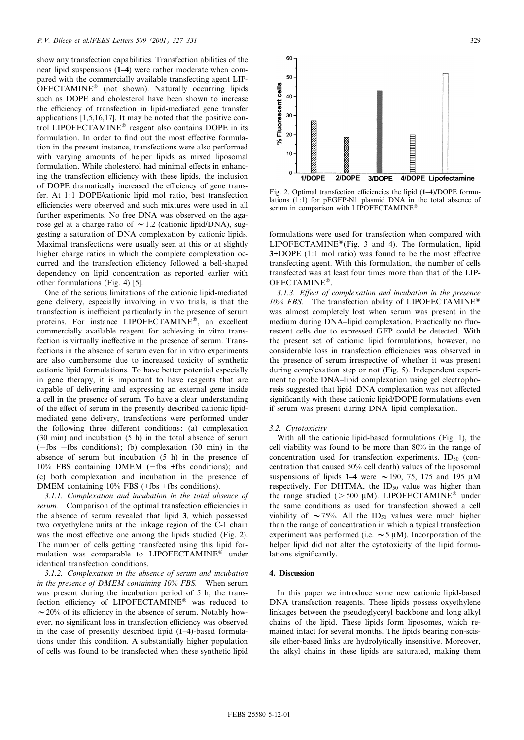show any transfection capabilities. Transfection abilities of the neat lipid suspensions (1^4) were rather moderate when compared with the commercially available transfecting agent LIP-OFECTAMINE® (not shown). Naturally occurring lipids such as DOPE and cholesterol have been shown to increase the efficiency of transfection in lipid-mediated gene transfer applications [1,5,16,17]. It may be noted that the positive control LIPOFECTAMINE<sup>®</sup> reagent also contains DOPE in its formulation. In order to find out the most effective formulation in the present instance, transfections were also performed with varying amounts of helper lipids as mixed liposomal formulation. While cholesterol had minimal effects in enhancing the transfection efficiency with these lipids, the inclusion of DOPE dramatically increased the efficiency of gene transfer. At 1:1 DOPE/cationic lipid mol ratio, best transfection efficiencies were observed and such mixtures were used in all further experiments. No free DNA was observed on the agarose gel at a charge ratio of  $\sim$  1.2 (cationic lipid/DNA), suggesting a saturation of DNA complexation by cationic lipids. Maximal transfections were usually seen at this or at slightly higher charge ratios in which the complete complexation occurred and the transfection efficiency followed a bell-shaped dependency on lipid concentration as reported earlier with other formulations (Fig. 4) [5].

One of the serious limitations of the cationic lipid-mediated gene delivery, especially involving in vivo trials, is that the transfection is inefficient particularly in the presence of serum proteins. For instance LIPOFECTAMINE®, an excellent commercially available reagent for achieving in vitro transfection is virtually ineffective in the presence of serum. Transfections in the absence of serum even for in vitro experiments are also cumbersome due to increased toxicity of synthetic cationic lipid formulations. To have better potential especially in gene therapy, it is important to have reagents that are capable of delivering and expressing an external gene inside a cell in the presence of serum. To have a clear understanding of the effect of serum in the presently described cationic lipidmediated gene delivery, transfections were performed under the following three different conditions: (a) complexation (30 min) and incubation (5 h) in the total absence of serum  $(-\text{fbs } -\text{fbs } \text{ conditions});$  (b) complexation (30 min) in the absence of serum but incubation (5 h) in the presence of  $10\%$  FBS containing DMEM ( $-fbs$  +fbs conditions); and (c) both complexation and incubation in the presence of DMEM containing 10% FBS (+fbs +fbs conditions).

3.1.1. Complexation and incubation in the total absence of serum. Comparison of the optimal transfection efficiencies in the absence of serum revealed that lipid 3, which possessed two oxyethylene units at the linkage region of the C-1 chain was the most effective one among the lipids studied (Fig. 2). The number of cells getting transfected using this lipid formulation was comparable to LIPOFECTAMINE<sup>®</sup> under identical transfection conditions.

3.1.2. Complexation in the absence of serum and incubation in the presence of DMEM containing 10% FBS. When serum was present during the incubation period of 5 h, the transfection efficiency of LIPOFECTAMINE® was reduced to  $\sim$  20% of its efficiency in the absence of serum. Notably however, no significant loss in transfection efficiency was observed in the case of presently described lipid (1^4)-based formulations under this condition. A substantially higher population of cells was found to be transfected when these synthetic lipid



Fig. 2. Optimal transfection efficiencies the lipid  $(1-4)/DOPE$  formulations (1:1) for pEGFP-N1 plasmid DNA in the total absence of serum in comparison with LIPOFECTAMINE®.

formulations were used for transfection when compared with LIPOFECTAMINE<sup>®</sup>(Fig. 3 and 4). The formulation, lipid  $3+DOPE$  (1:1 mol ratio) was found to be the most effective transfecting agent. With this formulation, the number of cells transfected was at least four times more than that of the LIP-OFECTAMINE<sup>®</sup>.

3.1.3. Effect of complexation and incubation in the presence  $10\%$  FBS. The transfection ability of LIPOFECTAMINE<sup>®</sup> was almost completely lost when serum was present in the medium during DNA-lipid complexation. Practically no fluorescent cells due to expressed GFP could be detected. With the present set of cationic lipid formulations, however, no considerable loss in transfection efficiencies was observed in the presence of serum irrespective of whether it was present during complexation step or not (Fig. 5). Independent experiment to probe DNA-lipid complexation using gel electrophoresis suggested that lipid-DNA complexation was not affected significantly with these cationic lipid/DOPE formulations even if serum was present during DNA-lipid complexation.

# 3.2. Cytotoxicity

With all the cationic lipid-based formulations (Fig. 1), the cell viability was found to be more than 80% in the range of concentration used for transfection experiments.  $ID_{50}$  (concentration that caused 50% cell death) values of the liposomal suspensions of lipids 1–4 were  $\sim$  190, 75, 175 and 195  $\mu$ M respectively. For DHTMA, the  $ID_{50}$  value was higher than the range studied ( $> 500 \mu M$ ). LIPOFECTAMINE<sup>®</sup> under the same conditions as used for transfection showed a cell viability of  $\sim$  75%. All the ID<sub>50</sub> values were much higher than the range of concentration in which a typical transfection experiment was performed (i.e.  $\sim$  5  $\mu$ M). Incorporation of the helper lipid did not alter the cytotoxicity of the lipid formulations significantly.

## 4. Discussion

In this paper we introduce some new cationic lipid-based DNA transfection reagents. These lipids possess oxyethylene linkages between the pseudoglyceryl backbone and long alkyl chains of the lipid. These lipids form liposomes, which remained intact for several months. The lipids bearing non-scissile ether-based links are hydrolytically insensitive. Moreover, the alkyl chains in these lipids are saturated, making them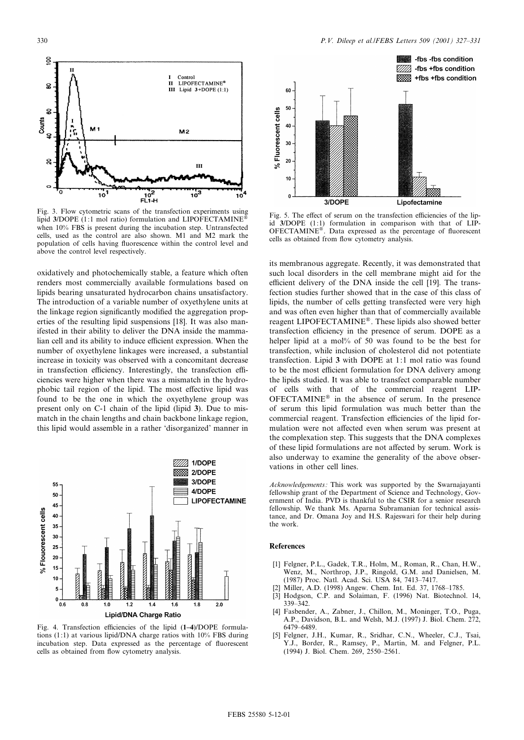

Fig. 3. Flow cytometric scans of the transfection experiments using lipid 3/DOPE (1:1 mol ratio) formulation and LIPOFECTAMINE<sup>6</sup> when 10% FBS is present during the incubation step. Untransfected cells, used as the control are also shown. M1 and M2 mark the population of cells having fluorescence within the control level and above the control level respectively.

oxidatively and photochemically stable, a feature which often renders most commercially available formulations based on lipids bearing unsaturated hydrocarbon chains unsatisfactory. The introduction of a variable number of oxyethylene units at the linkage region significantly modified the aggregation properties of the resulting lipid suspensions [18]. It was also manifested in their ability to deliver the DNA inside the mammalian cell and its ability to induce efficient expression. When the number of oxyethylene linkages were increased, a substantial increase in toxicity was observed with a concomitant decrease in transfection efficiency. Interestingly, the transfection efficiencies were higher when there was a mismatch in the hydrophobic tail region of the lipid. The most effective lipid was found to be the one in which the oxyethylene group was present only on C-1 chain of the lipid (lipid 3). Due to mismatch in the chain lengths and chain backbone linkage region, this lipid would assemble in a rather `disorganized' manner in



Fig. 4. Transfection efficiencies of the lipid  $(1-4)/DOPE$  formulations (1:1) at various lipid/DNA charge ratios with 10% FBS during incubation step. Data expressed as the percentage of fluorescent cells as obtained from flow cytometry analysis.



Fig. 5. The effect of serum on the transfection efficiencies of the lipid 3/DOPE (1:1) formulation in comparison with that of LIP-OFECTAMINE<sup>®</sup>. Data expressed as the percentage of fluorescent cells as obtained from flow cytometry analysis.

its membranous aggregate. Recently, it was demonstrated that such local disorders in the cell membrane might aid for the efficient delivery of the DNA inside the cell [19]. The transfection studies further showed that in the case of this class of lipids, the number of cells getting transfected were very high and was often even higher than that of commercially available reagent LIPOFECTAMINE®. These lipids also showed better transfection efficiency in the presence of serum. DOPE as a helper lipid at a mol% of 50 was found to be the best for transfection, while inclusion of cholesterol did not potentiate transfection. Lipid 3 with DOPE at 1:1 mol ratio was found to be the most efficient formulation for DNA delivery among the lipids studied. It was able to transfect comparable number of cells with that of the commercial reagent LIP- $OFECTAMINE^{\circledR}$  in the absence of serum. In the presence of serum this lipid formulation was much better than the commercial reagent. Transfection efficiencies of the lipid formulation were not affected even when serum was present at the complexation step. This suggests that the DNA complexes of these lipid formulations are not affected by serum. Work is also underway to examine the generality of the above observations in other cell lines.

Acknowledgements: This work was supported by the Swarnajayanti fellowship grant of the Department of Science and Technology, Government of India. PVD is thankful to the CSIR for a senior research fellowship. We thank Ms. Aparna Subramanian for technical assistance, and Dr. Omana Joy and H.S. Rajeswari for their help during the work.

# References

- [1] Felgner, P.L., Gadek, T.R., Holm, M., Roman, R., Chan, H.W., Wenz, M., Northrop, J.P., Ringold, G.M. and Danielsen, M. (1987) Proc. Natl. Acad. Sci. USA 84, 7413^7417.
- Miller, A.D. (1998) Angew. Chem. Int. Ed. 37, 1768-1785.
- [3] Hodgson, C.P. and Solaiman, F. (1996) Nat. Biotechnol. 14, 339-342
- [4] Fasbender, A., Zabner, J., Chillon, M., Moninger, T.O., Puga, A.P., Davidson, B.L. and Welsh, M.J. (1997) J. Biol. Chem. 272, 6479^6489.
- [5] Felgner, J.H., Kumar, R., Sridhar, C.N., Wheeler, C.J., Tsai, Y.J., Border, R., Ramsey, P., Martin, M. and Felgner, P.L. (1994) J. Biol. Chem. 269, 2550^2561.